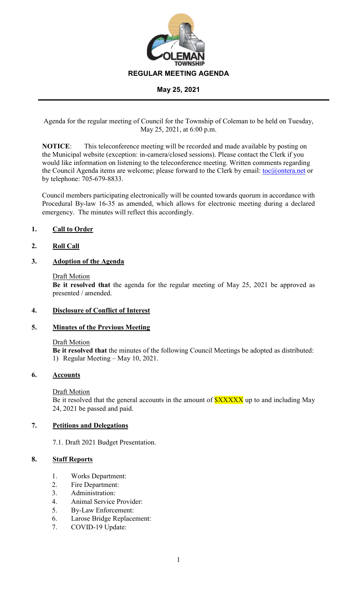

Agenda for the regular meeting of Council for the Township of Coleman to be held on Tuesday, May 25, 2021, at 6:00 p.m.

**NOTICE**: This teleconference meeting will be recorded and made available by posting on the Municipal website (exception: in-camera/closed sessions). Please contact the Clerk if you would like information on listening to the teleconference meeting. Written comments regarding the Council Agenda items are welcome; please forward to the Clerk by email: [toc@ontera.net](mailto:toc@ontera.net) or by telephone: 705-679-8833.

Council members participating electronically will be counted towards quorum in accordance with Procedural By-law 16-35 as amended, which allows for electronic meeting during a declared emergency. The minutes will reflect this accordingly.

# **1. Call to Order**

## **2. Roll Call**

### **3. Adoption of the Agenda**

#### Draft Motion

**Be it resolved that** the agenda for the regular meeting of May 25, 2021 be approved as presented / amended.

### **4. Disclosure of Conflict of Interest**

### **5. Minutes of the Previous Meeting**

#### Draft Motion

**Be it resolved that** the minutes of the following Council Meetings be adopted as distributed: 1) Regular Meeting – May 10, 2021.

### **6. Accounts**

#### Draft Motion

Be it resolved that the general accounts in the amount of  $\frac{SXXXX}{S}$  up to and including May 24, 2021 be passed and paid.

### **7. Petitions and Delegations**

7.1. Draft 2021 Budget Presentation.

### **8. Staff Reports**

- 1. Works Department:
- 2. Fire Department:
- 3. Administration:
- 4. Animal Service Provider:
- 5. By-Law Enforcement:
- 6. Larose Bridge Replacement:
- 7. COVID-19 Update: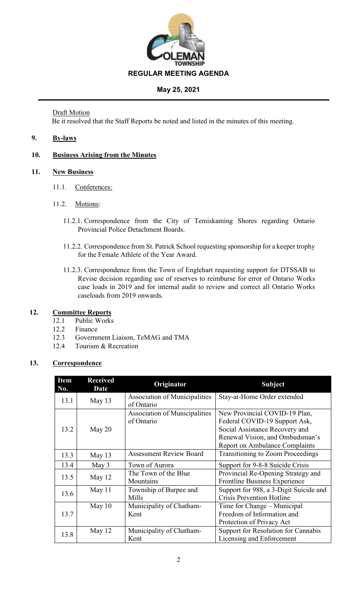

# Draft Motion

Be it resolved that the Staff Reports be noted and listed in the minutes of this meeting.

# **9. By-laws**

# **10. Business Arising from the Minutes**

## **11. New Business**

- 11.1. Conferences:
- 11.2. Motions:
	- 11.2.1. Correspondence from the City of Temiskaming Shores regarding Ontario Provincial Police Detachment Boards.
	- 11.2.2. Correspondence from St. Patrick School requesting sponsorship for a keeper trophy for the Female Athlete of the Year Award.
	- 11.2.3. Correspondence from the Town of Englehart requesting support for DTSSAB to Revise decision regarding use of reserves to reimburse for error of Ontario Works case loads in 2019 and for internal audit to review and correct all Ontario Works caseloads from 2019 onwards.

### **12. Committee Reports**

- 12.1 Public Works
- 12.2 Finance
- 12.3 Government Liaison, TeMAG and TMA
- 12.4 Tourism & Recreation

### **13. Correspondence**

| <b>Item</b><br>No. | <b>Received</b><br>Date | Originator                                  | <b>Subject</b>                                                                                                                      |
|--------------------|-------------------------|---------------------------------------------|-------------------------------------------------------------------------------------------------------------------------------------|
| 13.1               | May $13$                | Association of Municipalities<br>of Ontario | Stay-at-Home Order extended                                                                                                         |
| 13.2               | May $20$                | Association of Municipalities<br>of Ontario | New Provincial COVID-19 Plan,<br>Federal COVID-19 Support Ask,<br>Social Assistance Recovery and<br>Renewal Vision, and Ombudsman's |
|                    |                         |                                             | <b>Report on Ambulance Complaints</b>                                                                                               |
| 13.3               | May 13                  | <b>Assessment Review Board</b>              | <b>Transitioning to Zoom Proceedings</b>                                                                                            |
| 13.4               | May 3                   | Town of Aurora                              | Support for 9-8-8 Suicide Crisis                                                                                                    |
| 13.5               | May 12                  | The Town of the Blue<br>Mountains           | Provincial Re-Opening Strategy and<br><b>Frontline Business Experience</b>                                                          |
| 13.6               | May $11$                | Township of Burpee and<br>Mills             | Support for 988, a 3-Digit Suicide and<br><b>Crisis Prevention Hotline</b>                                                          |
| 13.7               | May $10$                | Municipality of Chatham-<br>Kent            | Time for Change – Municipal<br>Freedom of Information and<br>Protection of Privacy Act                                              |
| 13.8               | May 12                  | Municipality of Chatham-<br>Kent            | Support for Resolution for Cannabis<br>Licensing and Enforcement                                                                    |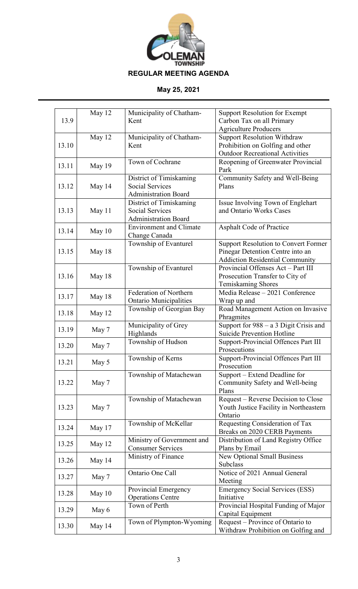

|       | May 12 | Municipality of Chatham-       | <b>Support Resolution for Exempt</b>        |
|-------|--------|--------------------------------|---------------------------------------------|
| 13.9  |        | Kent                           | Carbon Tax on all Primary                   |
|       |        |                                | <b>Agriculture Producers</b>                |
|       | May 12 | Municipality of Chatham-       | <b>Support Resolution Withdraw</b>          |
| 13.10 |        | Kent                           | Prohibition on Golfing and other            |
|       |        |                                | <b>Outdoor Recreational Activities</b>      |
| 13.11 | May 19 | Town of Cochrane               | Reopening of Greenwater Provincial<br>Park  |
|       |        | District of Timiskaming        | Community Safety and Well-Being             |
| 13.12 | May 14 | <b>Social Services</b>         | Plans                                       |
|       |        | Administration Board           |                                             |
|       |        | District of Timiskaming        | Issue Involving Town of Englehart           |
| 13.13 | May 11 | <b>Social Services</b>         | and Ontario Works Cases                     |
|       |        | <b>Administration Board</b>    |                                             |
| 13.14 | May 10 | <b>Environment and Climate</b> | Asphalt Code of Practice                    |
|       |        | Change Canada                  |                                             |
|       |        | Township of Evanturel          | <b>Support Resolution to Convert Former</b> |
| 13.15 | May 18 |                                | Pinegar Detention Centre into an            |
|       |        |                                | <b>Addiction Residential Community</b>      |
|       |        | Township of Evanturel          | Provincial Offenses Act - Part III          |
| 13.16 | May 18 |                                | Prosecution Transfer to City of             |
|       |        |                                | Temiskaming Shores                          |
| 13.17 | May 18 | Federation of Northern         | Media Release - 2021 Conference             |
|       |        | <b>Ontario Municipalities</b>  | Wrap up and                                 |
| 13.18 | May 12 | Township of Georgian Bay       | Road Management Action on Invasive          |
|       |        |                                | Phragmites                                  |
| 13.19 | May 7  | Municipality of Grey           | Support for $988 - a$ 3 Digit Crisis and    |
|       |        | Highlands                      | <b>Suicide Prevention Hotline</b>           |
| 13.20 | May 7  | Township of Hudson             | Support-Provincial Offences Part III        |
|       |        |                                | Prosecutions                                |
| 13.21 | May 5  | Township of Kerns              | Support-Provincial Offences Part III        |
|       |        |                                | Prosecution                                 |
|       |        | Township of Matachewan         | Support – Extend Deadline for               |
| 13.22 | May 7  |                                | Community Safety and Well-being             |
|       |        |                                | Plans                                       |
|       |        | Township of Matachewan         | Request – Reverse Decision to Close         |
| 13.23 | May 7  |                                | Youth Justice Facility in Northeastern      |
|       |        |                                | Ontario                                     |
| 13.24 | May 17 | Township of McKellar           | Requesting Consideration of Tax             |
|       |        |                                | Breaks on 2020 CERB Payments                |
| 13.25 | May 12 | Ministry of Government and     | Distribution of Land Registry Office        |
|       |        | <b>Consumer Services</b>       | Plans by Email                              |
| 13.26 | May 14 | Ministry of Finance            | New Optional Small Business                 |
|       |        |                                | <b>Subclass</b>                             |
| 13.27 | May 7  | Ontario One Call               | Notice of 2021 Annual General               |
|       |        |                                | Meeting                                     |
| 13.28 | May 10 | Provincial Emergency           | <b>Emergency Social Services (ESS)</b>      |
|       |        | <b>Operations Centre</b>       | Initiative                                  |
| 13.29 | May 6  | Town of Perth                  | Provincial Hospital Funding of Major        |
|       |        |                                | Capital Equipment                           |
| 13.30 | May 14 | Town of Plympton-Wyoming       | Request - Province of Ontario to            |
|       |        |                                | Withdraw Prohibition on Golfing and         |